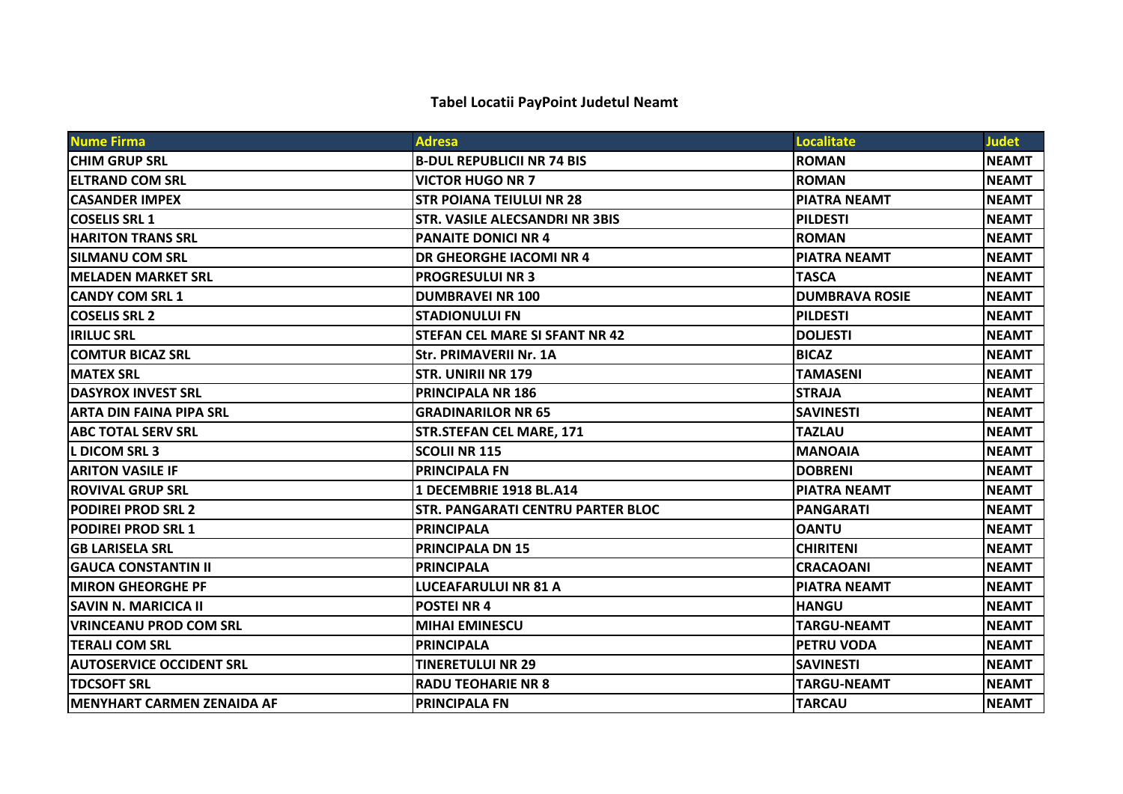## **Tabel Locatii PayPoint Judetul Neamt**

| <b>Nume Firma</b>               | <b>Adresa</b>                            | <b>Localitate</b>     | <b>Judet</b> |
|---------------------------------|------------------------------------------|-----------------------|--------------|
| <b>ICHIM GRUP SRL</b>           | <b>B-DUL REPUBLICII NR 74 BIS</b>        | <b>ROMAN</b>          | <b>NEAMT</b> |
| <b>IELTRAND COM SRL</b>         | <b>VICTOR HUGO NR 7</b>                  | <b>ROMAN</b>          | <b>NEAMT</b> |
| <b>ICASANDER IMPEX</b>          | <b>STR POIANA TEIULUI NR 28</b>          | <b>PIATRA NEAMT</b>   | <b>NEAMT</b> |
| <b>ICOSELIS SRL 1</b>           | <b>STR. VASILE ALECSANDRI NR 3BIS</b>    | <b>PILDESTI</b>       | <b>NEAMT</b> |
| <b>HARITON TRANS SRL</b>        | <b>PANAITE DONICI NR 4</b>               | <b>ROMAN</b>          | <b>NEAMT</b> |
| ISILMANU COM SRL                | <b>DR GHEORGHE IACOMI NR 4</b>           | <b>PIATRA NEAMT</b>   | <b>NEAMT</b> |
| <b>IMELADEN MARKET SRL</b>      | <b>PROGRESULUI NR 3</b>                  | <b>TASCA</b>          | <b>NEAMT</b> |
| <b>CANDY COM SRL 1</b>          | <b>DUMBRAVEI NR 100</b>                  | <b>DUMBRAVA ROSIE</b> | <b>NEAMT</b> |
| <b>COSELIS SRL 2</b>            | <b>STADIONULUI FN</b>                    | <b>PILDESTI</b>       | <b>NEAMT</b> |
| <b>IRILUC SRL</b>               | <b>STEFAN CEL MARE SI SFANT NR 42</b>    | <b>DOLJESTI</b>       | <b>NEAMT</b> |
| <b>COMTUR BICAZ SRL</b>         | <b>Str. PRIMAVERII Nr. 1A</b>            | <b>BICAZ</b>          | <b>NEAMT</b> |
| <b>MATEX SRL</b>                | <b>STR. UNIRII NR 179</b>                | <b>TAMASENI</b>       | <b>NEAMT</b> |
| <b>DASYROX INVEST SRL</b>       | <b>PRINCIPALA NR 186</b>                 | <b>STRAJA</b>         | <b>NEAMT</b> |
| ARTA DIN FAINA PIPA SRL         | <b>GRADINARILOR NR 65</b>                | <b>SAVINESTI</b>      | <b>NEAMT</b> |
| <b>ABC TOTAL SERV SRL</b>       | <b>STR.STEFAN CEL MARE, 171</b>          | <b>TAZLAU</b>         | <b>NEAMT</b> |
| IL DICOM SRL 3                  | <b>SCOLII NR 115</b>                     | <b>MANOAIA</b>        | <b>NEAMT</b> |
| <b>ARITON VASILE IF</b>         | <b>PRINCIPALA FN</b>                     | <b>DOBRENI</b>        | <b>NEAMT</b> |
| <b>ROVIVAL GRUP SRL</b>         | <b>1 DECEMBRIE 1918 BL.A14</b>           | <b>PIATRA NEAMT</b>   | <b>NEAMT</b> |
| <b>PODIREI PROD SRL 2</b>       | <b>STR. PANGARATI CENTRU PARTER BLOC</b> | <b>PANGARATI</b>      | <b>NEAMT</b> |
| <b>PODIREI PROD SRL 1</b>       | <b>PRINCIPALA</b>                        | <b>OANTU</b>          | <b>NEAMT</b> |
| <b>GB LARISELA SRL</b>          | <b>PRINCIPALA DN 15</b>                  | <b>CHIRITENI</b>      | <b>NEAMT</b> |
| <b>GAUCA CONSTANTIN II</b>      | <b>PRINCIPALA</b>                        | <b>CRACAOANI</b>      | <b>NEAMT</b> |
| <b>IMIRON GHEORGHE PF</b>       | <b>LUCEAFARULUI NR 81 A</b>              | <b>PIATRA NEAMT</b>   | <b>NEAMT</b> |
| <b>SAVIN N. MARICICA II</b>     | <b>POSTEI NR 4</b>                       | <b>HANGU</b>          | <b>NEAMT</b> |
| <b>VRINCEANU PROD COM SRL</b>   | <b>MIHAI EMINESCU</b>                    | <b>TARGU-NEAMT</b>    | <b>NEAMT</b> |
| <b>ITERALI COM SRL</b>          | <b>PRINCIPALA</b>                        | <b>PETRU VODA</b>     | <b>NEAMT</b> |
| <b>AUTOSERVICE OCCIDENT SRL</b> | <b>TINERETULUI NR 29</b>                 | <b>SAVINESTI</b>      | <b>NEAMT</b> |
| <b>TDCSOFT SRL</b>              | <b>RADU TEOHARIE NR 8</b>                | <b>TARGU-NEAMT</b>    | <b>NEAMT</b> |
| MENYHART CARMEN ZENAIDA AF      | <b>PRINCIPALA FN</b>                     | <b>TARCAU</b>         | <b>NEAMT</b> |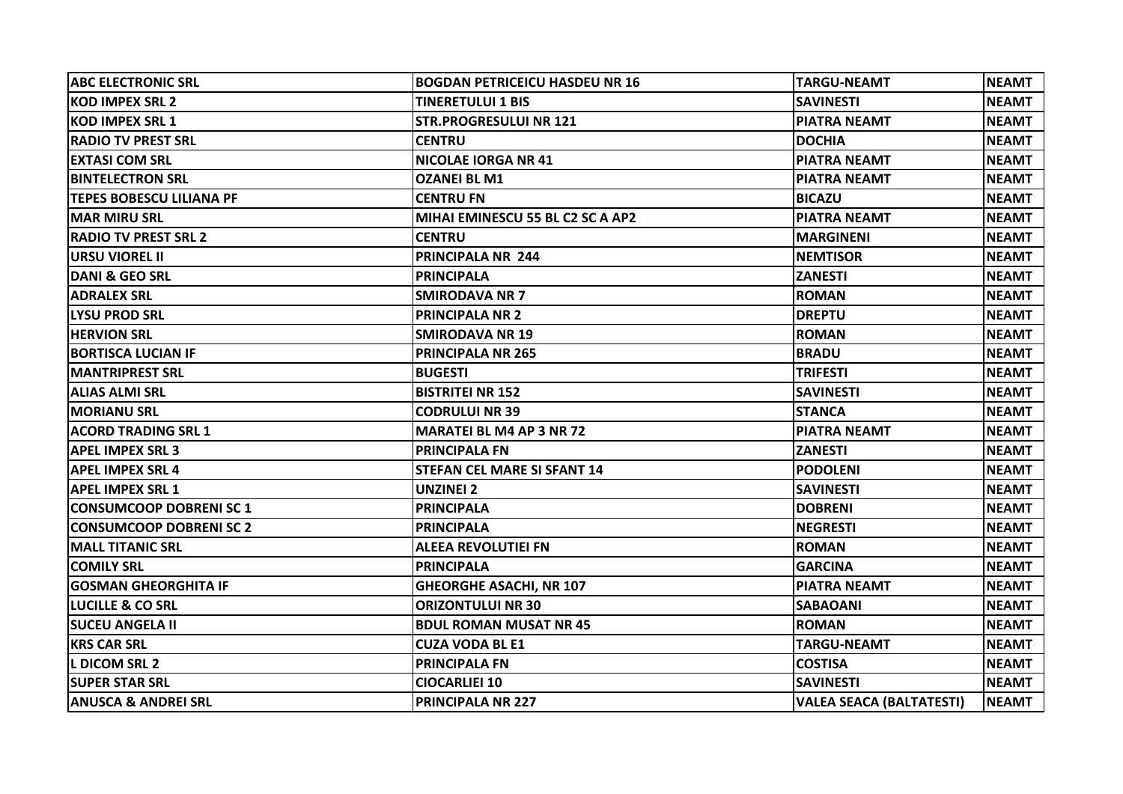| <b>ABC ELECTRONIC SRL</b>       | <b>BOGDAN PETRICEICU HASDEU NR 16</b> | <b>TARGU-NEAMT</b>              | <b>NEAMT</b> |
|---------------------------------|---------------------------------------|---------------------------------|--------------|
| <b>KOD IMPEX SRL 2</b>          | TINERETULUI 1 BIS                     | <b>SAVINESTI</b>                | <b>NEAMT</b> |
| KOD IMPEX SRL 1                 | <b>STR.PROGRESULUI NR 121</b>         | <b>PIATRA NEAMT</b>             | <b>NEAMT</b> |
| <b>RADIO TV PREST SRL</b>       | <b>CENTRU</b>                         | <b>DOCHIA</b>                   | <b>NEAMT</b> |
| <b>EXTASI COM SRL</b>           | <b>NICOLAE IORGA NR 41</b>            | <b>PIATRA NEAMT</b>             | <b>NEAMT</b> |
| <b>BINTELECTRON SRL</b>         | <b>OZANEI BL M1</b>                   | <b>PIATRA NEAMT</b>             | <b>NEAMT</b> |
| <b>TEPES BOBESCU LILIANA PF</b> | <b>CENTRU FN</b>                      | <b>BICAZU</b>                   | <b>NEAMT</b> |
| <b>IMAR MIRU SRL</b>            | MIHAI EMINESCU 55 BL C2 SC A AP2      | <b>PIATRA NEAMT</b>             | <b>NEAMT</b> |
| <b>RADIO TV PREST SRL 2</b>     | <b>CENTRU</b>                         | <b>MARGINENI</b>                | <b>NEAMT</b> |
| URSU VIOREL II                  | PRINCIPALA NR 244                     | <b>NEMTISOR</b>                 | <b>NEAMT</b> |
| DANI & GEO SRL                  | <b>PRINCIPALA</b>                     | <b>ZANESTI</b>                  | <b>NEAMT</b> |
| <b>ADRALEX SRL</b>              | <b>SMIRODAVA NR 7</b>                 | <b>ROMAN</b>                    | <b>NEAMT</b> |
| LYSU PROD SRL                   | <b>PRINCIPALA NR 2</b>                | <b>DREPTU</b>                   | <b>NEAMT</b> |
| <b>HERVION SRL</b>              | <b>SMIRODAVA NR 19</b>                | <b>ROMAN</b>                    | <b>NEAMT</b> |
| <b>BORTISCA LUCIAN IF</b>       | <b>PRINCIPALA NR 265</b>              | <b>BRADU</b>                    | <b>NEAMT</b> |
| <b>MANTRIPREST SRL</b>          | <b>BUGESTI</b>                        | <b>TRIFESTI</b>                 | <b>NEAMT</b> |
| <b>ALIAS ALMI SRL</b>           | <b>BISTRITEI NR 152</b>               | <b>SAVINESTI</b>                | <b>NEAMT</b> |
| <b>MORIANU SRL</b>              | <b>CODRULUI NR 39</b>                 | <b>STANCA</b>                   | <b>NEAMT</b> |
| <b>ACORD TRADING SRL 1</b>      | <b>MARATEI BL M4 AP 3 NR 72</b>       | <b>PIATRA NEAMT</b>             | <b>NEAMT</b> |
| <b>APEL IMPEX SRL 3</b>         | <b>PRINCIPALA FN</b>                  | <b>ZANESTI</b>                  | <b>NEAMT</b> |
| <b>APEL IMPEX SRL 4</b>         | <b>STEFAN CEL MARE SI SFANT 14</b>    | <b>PODOLENI</b>                 | <b>NEAMT</b> |
| <b>APEL IMPEX SRL 1</b>         | <b>UNZINEI 2</b>                      | <b>SAVINESTI</b>                | <b>NEAMT</b> |
| CONSUMCOOP DOBRENI SC 1         | <b>PRINCIPALA</b>                     | <b>DOBRENI</b>                  | <b>NEAMT</b> |
| <b>CONSUMCOOP DOBRENI SC 2</b>  | <b>PRINCIPALA</b>                     | <b>NEGRESTI</b>                 | <b>NEAMT</b> |
| <b>MALL TITANIC SRL</b>         | <b>ALEEA REVOLUTIEI FN</b>            | <b>ROMAN</b>                    | <b>NEAMT</b> |
| <b>COMILY SRL</b>               | PRINCIPALA                            | <b>GARCINA</b>                  | <b>NEAMT</b> |
| <b>GOSMAN GHEORGHITA IF</b>     | <b>GHEORGHE ASACHI, NR 107</b>        | <b>PIATRA NEAMT</b>             | <b>NEAMT</b> |
| LUCILLE & CO SRL                | <b>ORIZONTULUI NR 30</b>              | <b>SABAOANI</b>                 | <b>NEAMT</b> |
| <b>SUCEU ANGELA II</b>          | <b>BDUL ROMAN MUSAT NR 45</b>         | <b>ROMAN</b>                    | <b>NEAMT</b> |
| <b>KRS CAR SRL</b>              | <b>CUZA VODA BL E1</b>                | <b>TARGU-NEAMT</b>              | <b>NEAMT</b> |
| L DICOM SRL 2                   | <b>PRINCIPALA FN</b>                  | <b>COSTISA</b>                  | <b>NEAMT</b> |
| <b>SUPER STAR SRL</b>           | <b>CIOCARLIEI 10</b>                  | <b>SAVINESTI</b>                | <b>NEAMT</b> |
| ANUSCA & ANDREI SRL             | <b>PRINCIPALA NR 227</b>              | <b>VALEA SEACA (BALTATESTI)</b> | <b>NEAMT</b> |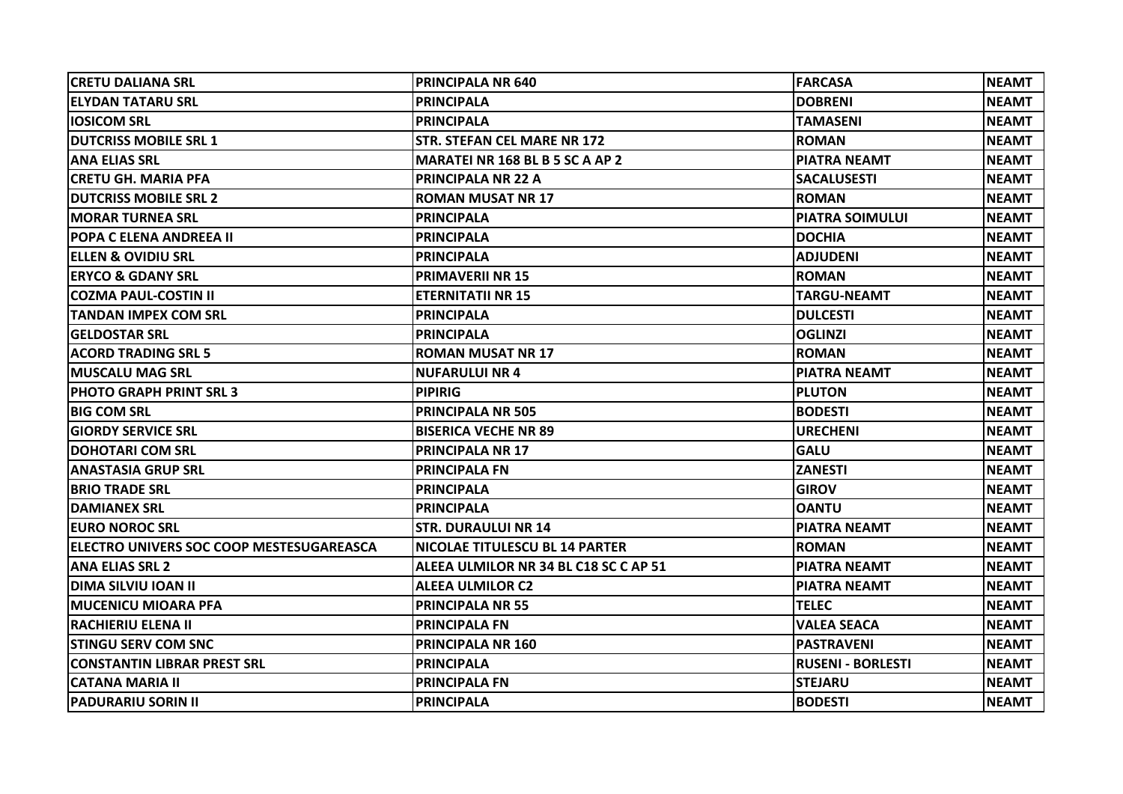| <b>CRETU DALIANA SRL</b>                 | <b>PRINCIPALA NR 640</b>               | <b>FARCASA</b>           | <b>NEAMT</b> |
|------------------------------------------|----------------------------------------|--------------------------|--------------|
| <b>ELYDAN TATARU SRL</b>                 | <b>PRINCIPALA</b>                      | <b>DOBRENI</b>           | <b>NEAMT</b> |
| <b>IOSICOM SRL</b>                       | <b>PRINCIPALA</b>                      | <b>TAMASENI</b>          | <b>NEAMT</b> |
| IDUTCRISS MOBILE SRL 1                   | <b>STR. STEFAN CEL MARE NR 172</b>     | <b>ROMAN</b>             | <b>NEAMT</b> |
| <b>ANA ELIAS SRL</b>                     | <b>MARATEI NR 168 BL B 5 SC A AP 2</b> | <b>PIATRA NEAMT</b>      | <b>NEAMT</b> |
| <b>CRETU GH. MARIA PFA</b>               | <b>PRINCIPALA NR 22 A</b>              | <b>SACALUSESTI</b>       | <b>NEAMT</b> |
| IDUTCRISS MOBILE SRL 2                   | <b>ROMAN MUSAT NR 17</b>               | <b>ROMAN</b>             | <b>NEAMT</b> |
| IMORAR TURNEA SRL                        | <b>PRINCIPALA</b>                      | <b>PIATRA SOIMULUI</b>   | <b>NEAMT</b> |
| <b>POPA C ELENA ANDREEA II</b>           | <b>PRINCIPALA</b>                      | <b>DOCHIA</b>            | <b>NEAMT</b> |
| <b>ELLEN &amp; OVIDIU SRL</b>            | <b>PRINCIPALA</b>                      | <b>ADJUDENI</b>          | <b>NEAMT</b> |
| IERYCO & GDANY SRL                       | <b>PRIMAVERII NR 15</b>                | <b>ROMAN</b>             | <b>NEAMT</b> |
| <b>COZMA PAUL-COSTIN II</b>              | <b>ETERNITATII NR 15</b>               | <b>TARGU-NEAMT</b>       | <b>NEAMT</b> |
| <b>TANDAN IMPEX COM SRL</b>              | <b>PRINCIPALA</b>                      | <b>DULCESTI</b>          | <b>NEAMT</b> |
| <b>GELDOSTAR SRL</b>                     | <b>PRINCIPALA</b>                      | <b>OGLINZI</b>           | <b>NEAMT</b> |
| <b>ACORD TRADING SRL 5</b>               | <b>ROMAN MUSAT NR 17</b>               | <b>ROMAN</b>             | <b>NEAMT</b> |
| <b>MUSCALU MAG SRL</b>                   | <b>NUFARULUI NR 4</b>                  | <b>PIATRA NEAMT</b>      | <b>NEAMT</b> |
| <b> PHOTO GRAPH PRINT SRL 3</b>          | <b>PIPIRIG</b>                         | <b>PLUTON</b>            | <b>NEAMT</b> |
| <b>BIG COM SRL</b>                       | <b>PRINCIPALA NR 505</b>               | <b>BODESTI</b>           | <b>NEAMT</b> |
| <b>GIORDY SERVICE SRL</b>                | <b>BISERICA VECHE NR 89</b>            | <b>URECHENI</b>          | <b>NEAMT</b> |
| <b>DOHOTARI COM SRL</b>                  | <b>PRINCIPALA NR 17</b>                | <b>GALU</b>              | <b>NEAMT</b> |
| <b>ANASTASIA GRUP SRL</b>                | <b>PRINCIPALA FN</b>                   | <b>ZANESTI</b>           | <b>NEAMT</b> |
| <b>IBRIO TRADE SRL</b>                   | <b>PRINCIPALA</b>                      | <b>GIROV</b>             | <b>NEAMT</b> |
| <b>DAMIANEX SRL</b>                      | <b>PRINCIPALA</b>                      | <b>OANTU</b>             | <b>NEAMT</b> |
| <b>IEURO NOROC SRL</b>                   | <b>STR. DURAULUI NR 14</b>             | <b>PIATRA NEAMT</b>      | <b>NEAMT</b> |
| ELECTRO UNIVERS SOC COOP MESTESUGAREASCA | NICOLAE TITULESCU BL 14 PARTER         | <b>ROMAN</b>             | <b>NEAMT</b> |
| <b>ANA ELIAS SRL 2</b>                   | ALEEA ULMILOR NR 34 BL C18 SC C AP 51  | <b>PIATRA NEAMT</b>      | <b>NEAMT</b> |
| IDIMA SILVIU IOAN II                     | <b>ALEEA ULMILOR C2</b>                | <b>PIATRA NEAMT</b>      | <b>NEAMT</b> |
| IMUCENICU MIOARA PFA                     | <b>PRINCIPALA NR 55</b>                | <b>TELEC</b>             | <b>NEAMT</b> |
| <b>RACHIERIU ELENA II</b>                | <b>PRINCIPALA FN</b>                   | <b>VALEA SEACA</b>       | <b>NEAMT</b> |
| <b>STINGU SERV COM SNC</b>               | <b>PRINCIPALA NR 160</b>               | <b>PASTRAVENI</b>        | <b>NEAMT</b> |
| <b>CONSTANTIN LIBRAR PREST SRL</b>       | <b>PRINCIPALA</b>                      | <b>RUSENI - BORLESTI</b> | <b>NEAMT</b> |
| <b>CATANA MARIA II</b>                   | <b>PRINCIPALA FN</b>                   | <b>STEJARU</b>           | <b>NEAMT</b> |
| <b>PADURARIU SORIN II</b>                | <b>PRINCIPALA</b>                      | <b>BODESTI</b>           | <b>NEAMT</b> |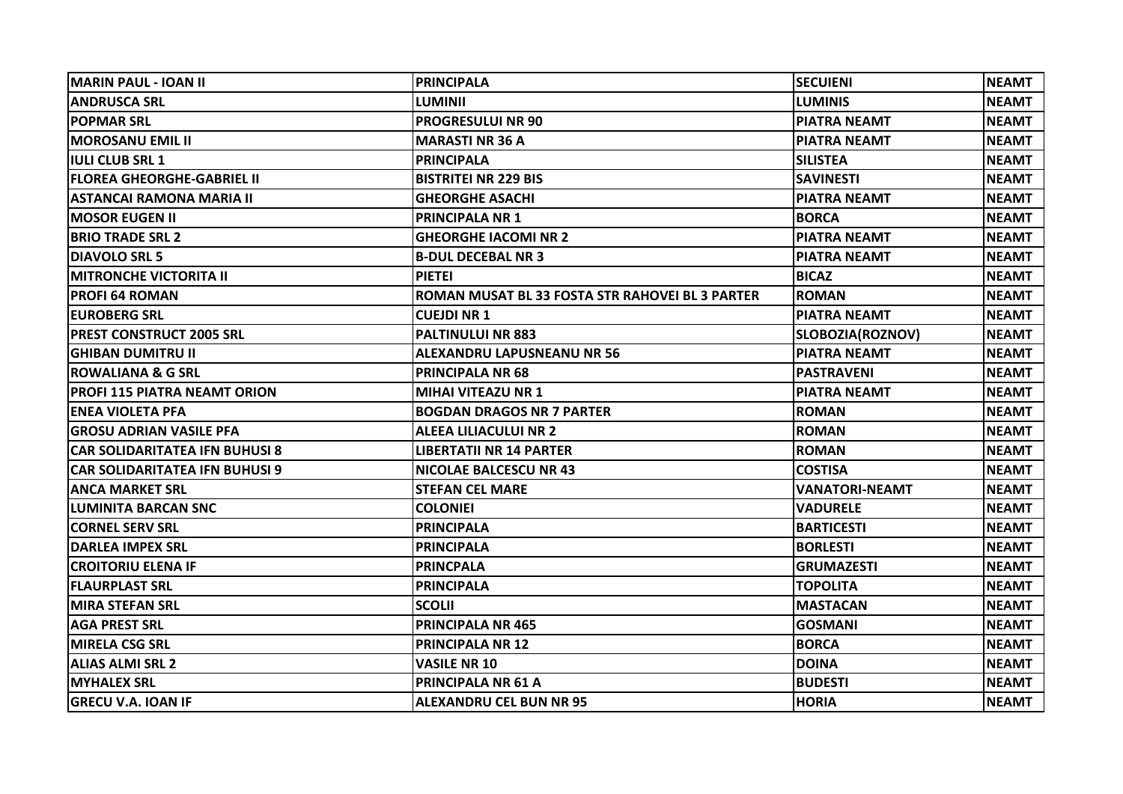| İMARIN PAUL - IOAN II                 | <b>PRINCIPALA</b>                               | <b>SECUIENI</b>       | <b>NEAMT</b> |
|---------------------------------------|-------------------------------------------------|-----------------------|--------------|
| <b>ANDRUSCA SRL</b>                   | LUMINII                                         | <b>LUMINIS</b>        | <b>NEAMT</b> |
| <b>POPMAR SRL</b>                     | <b>PROGRESULUI NR 90</b>                        | <b>PIATRA NEAMT</b>   | <b>NEAMT</b> |
| <b>MOROSANU EMIL II</b>               | <b>MARASTI NR 36 A</b>                          | <b>PIATRA NEAMT</b>   | <b>NEAMT</b> |
| IULI CLUB SRL 1                       | <b>PRINCIPALA</b>                               | SILISTEA              | <b>NEAMT</b> |
| <b>FLOREA GHEORGHE-GABRIEL II</b>     | <b>BISTRITEI NR 229 BIS</b>                     | <b>SAVINESTI</b>      | <b>NEAMT</b> |
| <b>ASTANCAI RAMONA MARIA II</b>       | <b>GHEORGHE ASACHI</b>                          | <b>PIATRA NEAMT</b>   | <b>NEAMT</b> |
| <b>IMOSOR EUGEN II</b>                | <b>PRINCIPALA NR 1</b>                          | <b>BORCA</b>          | <b>NEAMT</b> |
| <b>BRIO TRADE SRL 2</b>               | <b>GHEORGHE IACOMI NR 2</b>                     | <b>PIATRA NEAMT</b>   | <b>NEAMT</b> |
| <b>DIAVOLO SRL 5</b>                  | <b>B-DUL DECEBAL NR 3</b>                       | <b>PIATRA NEAMT</b>   | <b>NEAMT</b> |
| MITRONCHE VICTORITA II                | <b>PIETEI</b>                                   | <b>BICAZ</b>          | <b>NEAMT</b> |
| <b>PROFI 64 ROMAN</b>                 | ROMAN MUSAT BL 33 FOSTA STR RAHOVEI BL 3 PARTER | <b>ROMAN</b>          | <b>NEAMT</b> |
| <b>EUROBERG SRL</b>                   | <b>CUEJDI NR 1</b>                              | <b>PIATRA NEAMT</b>   | <b>NEAMT</b> |
| <b>IPREST CONSTRUCT 2005 SRL</b>      | <b>PALTINULUI NR 883</b>                        | SLOBOZIA(ROZNOV)      | <b>NEAMT</b> |
| <b>IGHIBAN DUMITRU II</b>             | <b>ALEXANDRU LAPUSNEANU NR 56</b>               | <b>PIATRA NEAMT</b>   | <b>NEAMT</b> |
| <b>ROWALIANA &amp; G SRL</b>          | <b>PRINCIPALA NR 68</b>                         | <b>PASTRAVENI</b>     | <b>NEAMT</b> |
| <b>PROFI 115 PIATRA NEAMT ORION</b>   | <b>MIHAI VITEAZU NR 1</b>                       | <b>PIATRA NEAMT</b>   | <b>NEAMT</b> |
| <b>ENEA VIOLETA PFA</b>               | <b>BOGDAN DRAGOS NR 7 PARTER</b>                | <b>ROMAN</b>          | <b>NEAMT</b> |
| <b>GROSU ADRIAN VASILE PFA</b>        | ALEEA LILIACULUI NR 2                           | <b>ROMAN</b>          | <b>NEAMT</b> |
| <b>CAR SOLIDARITATEA IFN BUHUSI 8</b> | LIBERTATII NR 14 PARTER                         | <b>ROMAN</b>          | <b>NEAMT</b> |
| <b>CAR SOLIDARITATEA IFN BUHUSI 9</b> | <b>NICOLAE BALCESCU NR 43</b>                   | <b>COSTISA</b>        | <b>NEAMT</b> |
| <b>ANCA MARKET SRL</b>                | <b>STEFAN CEL MARE</b>                          | <b>VANATORI-NEAMT</b> | <b>NEAMT</b> |
| <b>LUMINITA BARCAN SNC</b>            | <b>COLONIEI</b>                                 | <b>VADURELE</b>       | <b>NEAMT</b> |
| <b>ICORNEL SERV SRL</b>               | <b>PRINCIPALA</b>                               | <b>BARTICESTI</b>     | <b>NEAMT</b> |
| <b>DARLEA IMPEX SRL</b>               | <b>PRINCIPALA</b>                               | <b>BORLESTI</b>       | <b>NEAMT</b> |
| <b>CROITORIU ELENA IF</b>             | <b>PRINCPALA</b>                                | <b>GRUMAZESTI</b>     | <b>NEAMT</b> |
| <b>FLAURPLAST SRL</b>                 | <b>PRINCIPALA</b>                               | <b>TOPOLITA</b>       | <b>NEAMT</b> |
| MIRA STEFAN SRL                       | <b>SCOLII</b>                                   | <b>MASTACAN</b>       | <b>NEAMT</b> |
| <b>AGA PREST SRL</b>                  | <b>PRINCIPALA NR 465</b>                        | <b>GOSMANI</b>        | <b>NEAMT</b> |
| IMIRELA CSG SRL                       | <b>PRINCIPALA NR 12</b>                         | <b>BORCA</b>          | <b>NEAMT</b> |
| <b>ALIAS ALMI SRL 2</b>               | <b>VASILE NR 10</b>                             | <b>DOINA</b>          | <b>NEAMT</b> |
| <b>MYHALEX SRL</b>                    | PRINCIPALA NR 61 A                              | <b>BUDESTI</b>        | <b>NEAMT</b> |
| <b>GRECU V.A. IOAN IF</b>             | <b>ALEXANDRU CEL BUN NR 95</b>                  | <b>HORIA</b>          | <b>NEAMT</b> |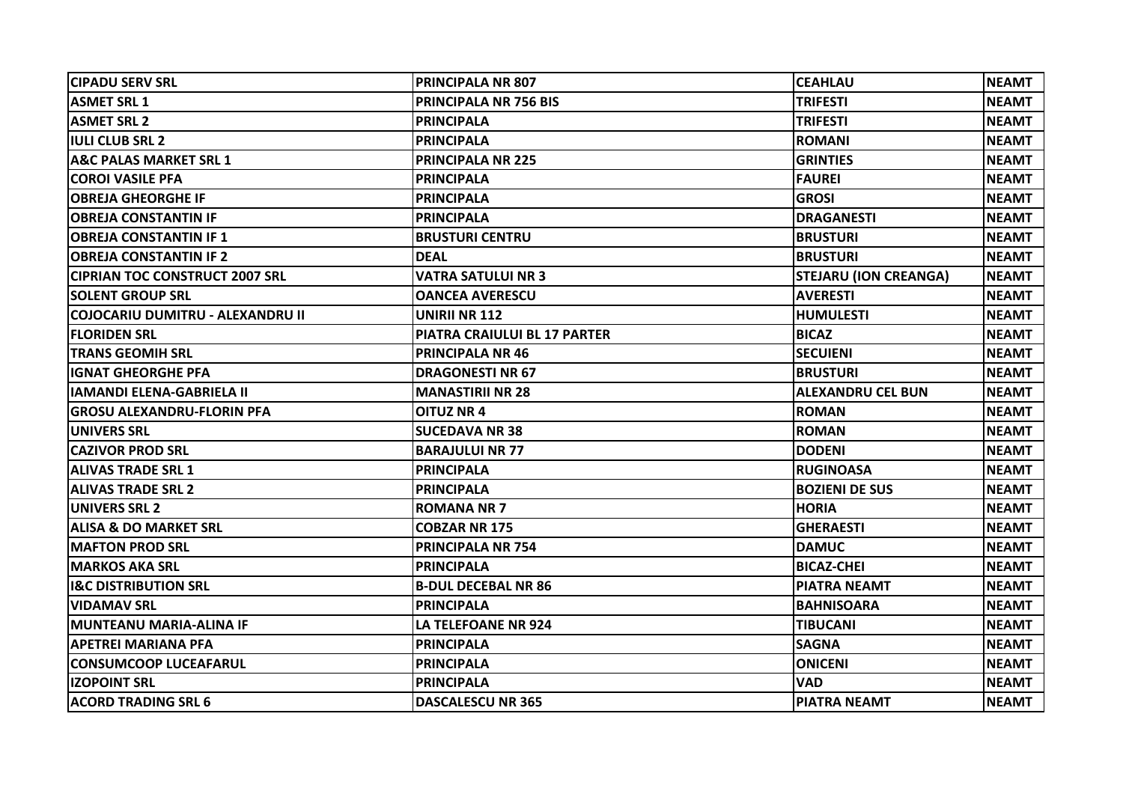| <b>CIPADU SERV SRL</b>                | <b>PRINCIPALA NR 807</b>     | <b>CEAHLAU</b>               | <b>NEAMT</b> |
|---------------------------------------|------------------------------|------------------------------|--------------|
| <b>ASMET SRL 1</b>                    | <b>PRINCIPALA NR 756 BIS</b> | <b>TRIFESTI</b>              | <b>NEAMT</b> |
| <b>ASMET SRL 2</b>                    | <b>PRINCIPALA</b>            | <b>TRIFESTI</b>              | <b>NEAMT</b> |
| <b>IULI CLUB SRL 2</b>                | <b>PRINCIPALA</b>            | <b>ROMANI</b>                | <b>NEAMT</b> |
| <b>A&amp;C PALAS MARKET SRL 1</b>     | <b>PRINCIPALA NR 225</b>     | <b>GRINTIES</b>              | <b>NEAMT</b> |
| <b>COROI VASILE PFA</b>               | <b>PRINCIPALA</b>            | <b>FAUREI</b>                | <b>NEAMT</b> |
| <b>OBREJA GHEORGHE IF</b>             | <b>PRINCIPALA</b>            | <b>GROSI</b>                 | <b>NEAMT</b> |
| <b>OBREJA CONSTANTIN IF</b>           | <b>PRINCIPALA</b>            | <b>DRAGANESTI</b>            | <b>NEAMT</b> |
| <b>OBREJA CONSTANTIN IF 1</b>         | <b>BRUSTURI CENTRU</b>       | <b>BRUSTURI</b>              | <b>NEAMT</b> |
| <b>OBREJA CONSTANTIN IF 2</b>         | <b>DEAL</b>                  | <b>BRUSTURI</b>              | <b>NEAMT</b> |
| <b>CIPRIAN TOC CONSTRUCT 2007 SRL</b> | <b>VATRA SATULUI NR 3</b>    | <b>STEJARU (ION CREANGA)</b> | <b>NEAMT</b> |
| <b>SOLENT GROUP SRL</b>               | <b>OANCEA AVERESCU</b>       | <b>AVERESTI</b>              | <b>NEAMT</b> |
| COJOCARIU DUMITRU - ALEXANDRU II      | UNIRII NR 112                | <b>HUMULESTI</b>             | <b>NEAMT</b> |
| <b>FLORIDEN SRL</b>                   | PIATRA CRAIULUI BL 17 PARTER | <b>BICAZ</b>                 | <b>NEAMT</b> |
| <b>TRANS GEOMIH SRL</b>               | <b>PRINCIPALA NR 46</b>      | <b>SECUIENI</b>              | <b>NEAMT</b> |
| <b>IGNAT GHEORGHE PFA</b>             | <b>DRAGONESTI NR 67</b>      | <b>BRUSTURI</b>              | <b>NEAMT</b> |
| <b>IAMANDI ELENA-GABRIELA II</b>      | <b>MANASTIRII NR 28</b>      | <b>ALEXANDRU CEL BUN</b>     | <b>NEAMT</b> |
| <b>GROSU ALEXANDRU-FLORIN PFA</b>     | <b>OITUZ NR 4</b>            | <b>ROMAN</b>                 | <b>NEAMT</b> |
| <b>UNIVERS SRL</b>                    | <b>ISUCEDAVA NR 38</b>       | <b>ROMAN</b>                 | <b>NEAMT</b> |
| <b>CAZIVOR PROD SRL</b>               | <b>BARAJULUI NR 77</b>       | <b>DODENI</b>                | <b>NEAMT</b> |
| <b>ALIVAS TRADE SRL 1</b>             | <b>PRINCIPALA</b>            | RUGINOASA                    | <b>NEAMT</b> |
| <b>ALIVAS TRADE SRL 2</b>             | <b>PRINCIPALA</b>            | <b>BOZIENI DE SUS</b>        | <b>NEAMT</b> |
| UNIVERS SRL 2                         | <b>ROMANA NR 7</b>           | <b>HORIA</b>                 | <b>NEAMT</b> |
| <b>ALISA &amp; DO MARKET SRL</b>      | <b>COBZAR NR 175</b>         | <b>GHERAESTI</b>             | <b>NEAMT</b> |
| <b>MAFTON PROD SRL</b>                | <b>PRINCIPALA NR 754</b>     | <b>DAMUC</b>                 | <b>NEAMT</b> |
| <b>MARKOS AKA SRL</b>                 | <b>PRINCIPALA</b>            | <b>BICAZ-CHEI</b>            | <b>NEAMT</b> |
| <b>I&amp;C DISTRIBUTION SRL</b>       | <b>B-DUL DECEBAL NR 86</b>   | <b>PIATRA NEAMT</b>          | <b>NEAMT</b> |
| <b>VIDAMAV SRL</b>                    | <b>PRINCIPALA</b>            | <b>BAHNISOARA</b>            | <b>NEAMT</b> |
| <b>MUNTEANU MARIA-ALINA IF</b>        | LA TELEFOANE NR 924          | <b>TIBUCANI</b>              | <b>NEAMT</b> |
| <b>APETREI MARIANA PFA</b>            | <b>PRINCIPALA</b>            | <b>SAGNA</b>                 | <b>NEAMT</b> |
| <b>CONSUMCOOP LUCEAFARUL</b>          | <b>PRINCIPALA</b>            | <b>ONICENI</b>               | <b>NEAMT</b> |
| <b>IZOPOINT SRL</b>                   | <b>PRINCIPALA</b>            | <b>VAD</b>                   | <b>NEAMT</b> |
| <b>ACORD TRADING SRL 6</b>            | <b>DASCALESCU NR 365</b>     | <b>PIATRA NEAMT</b>          | <b>NEAMT</b> |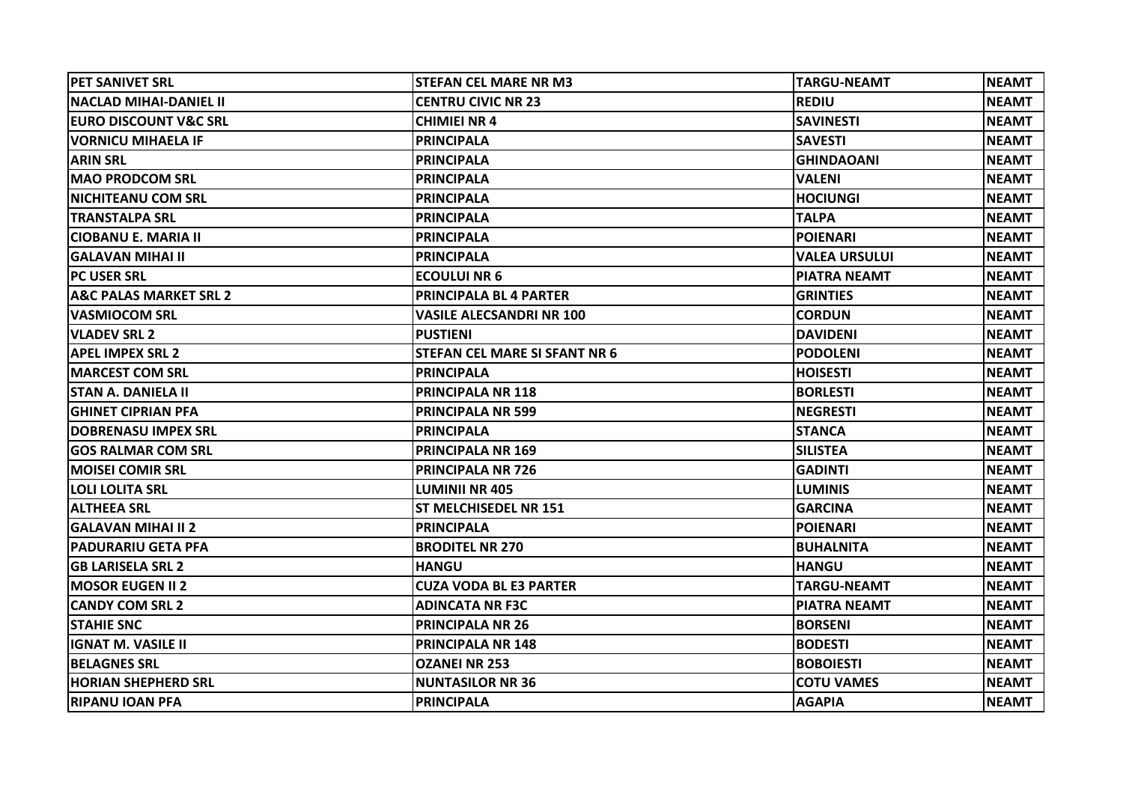| <b>PET SANIVET SRL</b>            | <b>STEFAN CEL MARE NR M3</b>         | <b>TARGU-NEAMT</b>   | <b>NEAMT</b> |
|-----------------------------------|--------------------------------------|----------------------|--------------|
| <b>INACLAD MIHAI-DANIEL II</b>    | <b>CENTRU CIVIC NR 23</b>            | <b>REDIU</b>         | <b>NEAMT</b> |
| <b>EURO DISCOUNT V&amp;C SRL</b>  | <b>CHIMIEI NR 4</b>                  | <b>SAVINESTI</b>     | <b>NEAMT</b> |
| <b>VORNICU MIHAELA IF</b>         | <b>PRINCIPALA</b>                    | <b>SAVESTI</b>       | <b>NEAMT</b> |
| <b>ARIN SRL</b>                   | <b>PRINCIPALA</b>                    | <b>GHINDAOANI</b>    | <b>NEAMT</b> |
| <b>MAO PRODCOM SRL</b>            | <b>PRINCIPALA</b>                    | <b>VALENI</b>        | <b>NEAMT</b> |
| <b>NICHITEANU COM SRL</b>         | <b>PRINCIPALA</b>                    | <b>HOCIUNGI</b>      | <b>NEAMT</b> |
| <b>TRANSTALPA SRL</b>             | <b>PRINCIPALA</b>                    | <b>TALPA</b>         | <b>NEAMT</b> |
| CIOBANU E. MARIA II               | <b>PRINCIPALA</b>                    | <b>POIENARI</b>      | <b>NEAMT</b> |
| <b>GALAVAN MIHAI II</b>           | <b>PRINCIPALA</b>                    | <b>VALEA URSULUI</b> | <b>NEAMT</b> |
| <b>PC USER SRL</b>                | <b>ECOULUI NR 6</b>                  | <b>PIATRA NEAMT</b>  | <b>NEAMT</b> |
| <b>A&amp;C PALAS MARKET SRL 2</b> | PRINCIPALA BL 4 PARTER               | <b>GRINTIES</b>      | <b>NEAMT</b> |
| <b>VASMIOCOM SRL</b>              | <b>VASILE ALECSANDRI NR 100</b>      | <b>CORDUN</b>        | <b>NEAMT</b> |
| <b>VLADEV SRL 2</b>               | <b>PUSTIENI</b>                      | <b>DAVIDENI</b>      | <b>NEAMT</b> |
| <b>APEL IMPEX SRL 2</b>           | <b>STEFAN CEL MARE SI SFANT NR 6</b> | <b>PODOLENI</b>      | <b>NEAMT</b> |
| <b>MARCEST COM SRL</b>            | <b>PRINCIPALA</b>                    | <b>HOISESTI</b>      | <b>NEAMT</b> |
| <b>STAN A. DANIELA II</b>         | <b>PRINCIPALA NR 118</b>             | <b>BORLESTI</b>      | <b>NEAMT</b> |
| <b>GHINET CIPRIAN PFA</b>         | <b>PRINCIPALA NR 599</b>             | <b>NEGRESTI</b>      | <b>NEAMT</b> |
| <b>DOBRENASU IMPEX SRL</b>        | <b>PRINCIPALA</b>                    | <b>STANCA</b>        | <b>NEAMT</b> |
| <b>GOS RALMAR COM SRL</b>         | <b>PRINCIPALA NR 169</b>             | <b>SILISTEA</b>      | <b>NEAMT</b> |
| IMOISEI COMIR SRL                 | <b>PRINCIPALA NR 726</b>             | <b>GADINTI</b>       | <b>NEAMT</b> |
| <b>LOLI LOLITA SRL</b>            | <b>LUMINII NR 405</b>                | <b>LUMINIS</b>       | <b>NEAMT</b> |
| <b>ALTHEEA SRL</b>                | ST MELCHISEDEL NR 151                | <b>GARCINA</b>       | <b>NEAMT</b> |
| <b>İGALAVAN MIHAI II 2</b>        | <b>PRINCIPALA</b>                    | <b>POIENARI</b>      | <b>NEAMT</b> |
| <b>PADURARIU GETA PFA</b>         | <b>BRODITEL NR 270</b>               | <b>BUHALNITA</b>     | <b>NEAMT</b> |
| <b>GB LARISELA SRL 2</b>          | <b>HANGU</b>                         | <b>HANGU</b>         | <b>NEAMT</b> |
| <b>MOSOR EUGEN II 2</b>           | <b>CUZA VODA BL E3 PARTER</b>        | <b>TARGU-NEAMT</b>   | <b>NEAMT</b> |
| <b>CANDY COM SRL 2</b>            | <b>ADINCATA NR F3C</b>               | <b>PIATRA NEAMT</b>  | <b>NEAMT</b> |
| <b>STAHIE SNC</b>                 | <b>PRINCIPALA NR 26</b>              | <b>BORSENI</b>       | <b>NEAMT</b> |
| IGNAT M. VASILE II                | <b>PRINCIPALA NR 148</b>             | <b>BODESTI</b>       | <b>NEAMT</b> |
| <b>BELAGNES SRL</b>               | <b>OZANEI NR 253</b>                 | <b>BOBOIESTI</b>     | <b>NEAMT</b> |
| <b>HORIAN SHEPHERD SRL</b>        | <b>NUNTASILOR NR 36</b>              | <b>COTU VAMES</b>    | <b>NEAMT</b> |
| IRIPANU IOAN PFA                  | <b>PRINCIPALA</b>                    | <b>AGAPIA</b>        | <b>NEAMT</b> |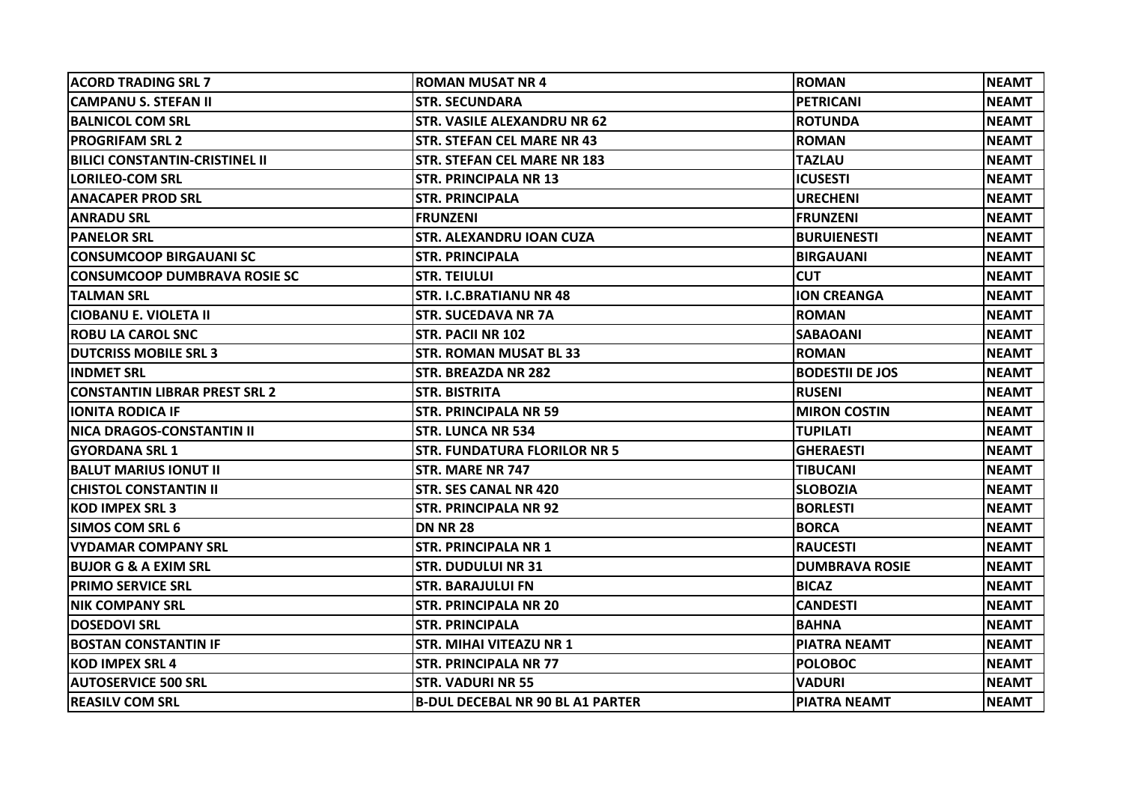| <b>ACORD TRADING SRL 7</b>            | <b>ROMAN MUSAT NR 4</b>                 | <b>ROMAN</b>           | <b>NEAMT</b> |
|---------------------------------------|-----------------------------------------|------------------------|--------------|
| <b>CAMPANU S. STEFAN II</b>           | <b>STR. SECUNDARA</b>                   | PETRICANI              | <b>NEAMT</b> |
| <b>BALNICOL COM SRL</b>               | <b>STR. VASILE ALEXANDRU NR 62</b>      | <b>ROTUNDA</b>         | <b>NEAMT</b> |
| <b>PROGRIFAM SRL 2</b>                | <b>STR. STEFAN CEL MARE NR 43</b>       | <b>ROMAN</b>           | <b>NEAMT</b> |
| <b>BILICI CONSTANTIN-CRISTINEL II</b> | STR. STEFAN CEL MARE NR 183             | <b>TAZLAU</b>          | <b>NEAMT</b> |
| <b>LORILEO-COM SRL</b>                | <b>STR. PRINCIPALA NR 13</b>            | <b>ICUSESTI</b>        | <b>NEAMT</b> |
| <b>ANACAPER PROD SRL</b>              | <b>STR. PRINCIPALA</b>                  | <b>URECHENI</b>        | <b>NEAMT</b> |
| <b>ANRADU SRL</b>                     | <b>FRUNZENI</b>                         | <b>FRUNZENI</b>        | <b>NEAMT</b> |
| <b>PANELOR SRL</b>                    | STR. ALEXANDRU IOAN CUZA                | <b>BURUIENESTI</b>     | <b>NEAMT</b> |
| <b>CONSUMCOOP BIRGAUANI SC</b>        | <b>STR. PRINCIPALA</b>                  | <b>BIRGAUANI</b>       | <b>NEAMT</b> |
| <b>CONSUMCOOP DUMBRAVA ROSIE SC</b>   | <b>STR. TEIULUI</b>                     | <b>CUT</b>             | <b>NEAMT</b> |
| <b>TALMAN SRL</b>                     | STR. I.C.BRATIANU NR 48                 | <b>ION CREANGA</b>     | <b>NEAMT</b> |
| <b>CIOBANU E. VIOLETA II</b>          | <b>STR. SUCEDAVA NR 7A</b>              | <b>ROMAN</b>           | <b>NEAMT</b> |
| <b>ROBU LA CAROL SNC</b>              | STR. PACII NR 102                       | <b>SABAOANI</b>        | <b>NEAMT</b> |
| <b>DUTCRISS MOBILE SRL 3</b>          | <b>STR. ROMAN MUSAT BL 33</b>           | <b>ROMAN</b>           | <b>NEAMT</b> |
| <b>INDMET SRL</b>                     | STR. BREAZDA NR 282                     | <b>BODESTII DE JOS</b> | <b>NEAMT</b> |
| <b>CONSTANTIN LIBRAR PREST SRL 2</b>  | <b>STR. BISTRITA</b>                    | <b>RUSENI</b>          | <b>NEAMT</b> |
| <b>IONITA RODICA IF</b>               | <b>STR. PRINCIPALA NR 59</b>            | <b>MIRON COSTIN</b>    | <b>NEAMT</b> |
| NICA DRAGOS-CONSTANTIN II             | <b>STR. LUNCA NR 534</b>                | <b>TUPILATI</b>        | <b>NEAMT</b> |
| <b>GYORDANA SRL1</b>                  | <b>STR. FUNDATURA FLORILOR NR 5</b>     | <b>GHERAESTI</b>       | <b>NEAMT</b> |
| <b>BALUT MARIUS IONUT II</b>          | <b>STR. MARE NR 747</b>                 | <b>TIBUCANI</b>        | <b>NEAMT</b> |
| <b>CHISTOL CONSTANTIN II</b>          | <b>STR. SES CANAL NR 420</b>            | <b>SLOBOZIA</b>        | <b>NEAMT</b> |
| <b>KOD IMPEX SRL 3</b>                | STR. PRINCIPALA NR 92                   | <b>BORLESTI</b>        | <b>NEAMT</b> |
| <b>SIMOS COM SRL 6</b>                | <b>DN NR 28</b>                         | <b>BORCA</b>           | <b>NEAMT</b> |
| <b>VYDAMAR COMPANY SRL</b>            | STR. PRINCIPALA NR 1                    | <b>RAUCESTI</b>        | <b>NEAMT</b> |
| <b>BUJOR G &amp; A EXIM SRL</b>       | <b>STR. DUDULUI NR 31</b>               | <b>DUMBRAVA ROSIE</b>  | <b>NEAMT</b> |
| <b>PRIMO SERVICE SRL</b>              | <b>STR. BARAJULUI FN</b>                | <b>BICAZ</b>           | <b>NEAMT</b> |
| <b>NIK COMPANY SRL</b>                | <b>STR. PRINCIPALA NR 20</b>            | <b>CANDESTI</b>        | <b>NEAMT</b> |
| <b>IDOSEDOVI SRL</b>                  | <b>STR. PRINCIPALA</b>                  | <b>BAHNA</b>           | <b>NEAMT</b> |
| <b>BOSTAN CONSTANTIN IF</b>           | <b>STR. MIHAI VITEAZU NR 1</b>          | <b>PIATRA NEAMT</b>    | <b>NEAMT</b> |
| <b>KOD IMPEX SRL 4</b>                | <b>STR. PRINCIPALA NR 77</b>            | <b>POLOBOC</b>         | <b>NEAMT</b> |
| <b>AUTOSERVICE 500 SRL</b>            | <b>STR. VADURI NR 55</b>                | <b>VADURI</b>          | <b>NEAMT</b> |
| <b>REASILV COM SRL</b>                | <b>B-DUL DECEBAL NR 90 BL A1 PARTER</b> | <b>PIATRA NEAMT</b>    | <b>NEAMT</b> |